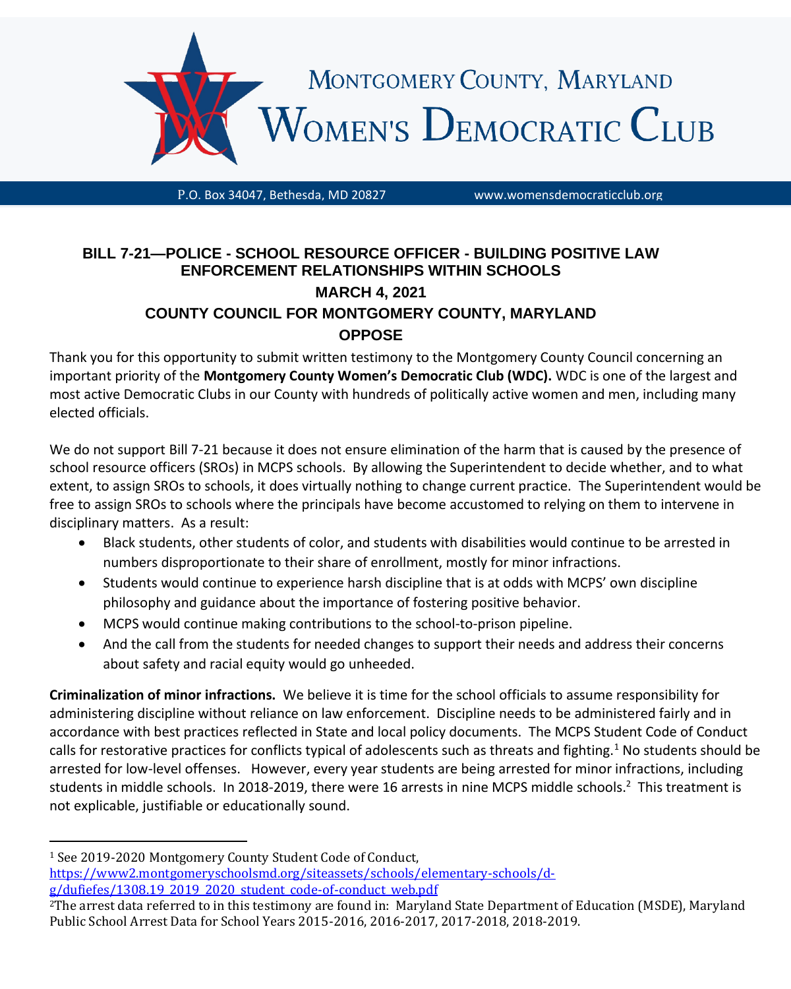

P.O. Box 34047, Bethesda, MD 20827 www.womensdemocraticclub.org

## **BILL 7-21—POLICE - SCHOOL RESOURCE OFFICER - BUILDING POSITIVE LAW ENFORCEMENT RELATIONSHIPS WITHIN SCHOOLS MARCH 4, 2021 COUNTY COUNCIL FOR MONTGOMERY COUNTY, MARYLAND OPPOSE**

Thank you for this opportunity to submit written testimony to the Montgomery County Council concerning an important priority of the **Montgomery County Women's Democratic Club (WDC).** WDC is one of the largest and most active Democratic Clubs in our County with hundreds of politically active women and men, including many elected officials.

We do not support Bill 7-21 because it does not ensure elimination of the harm that is caused by the presence of school resource officers (SROs) in MCPS schools. By allowing the Superintendent to decide whether, and to what extent, to assign SROs to schools, it does virtually nothing to change current practice. The Superintendent would be free to assign SROs to schools where the principals have become accustomed to relying on them to intervene in disciplinary matters. As a result:

- Black students, other students of color, and students with disabilities would continue to be arrested in numbers disproportionate to their share of enrollment, mostly for minor infractions.
- Students would continue to experience harsh discipline that is at odds with MCPS' own discipline philosophy and guidance about the importance of fostering positive behavior.
- MCPS would continue making contributions to the school-to-prison pipeline.
- And the call from the students for needed changes to support their needs and address their concerns about safety and racial equity would go unheeded.

**Criminalization of minor infractions.** We believe it is time for the school officials to assume responsibility for administering discipline without reliance on law enforcement. Discipline needs to be administered fairly and in accordance with best practices reflected in State and local policy documents. The MCPS Student Code of Conduct calls for restorative practices for conflicts typical of adolescents such as threats and fighting.<sup>1</sup> No students should be arrested for low-level offenses. However, every year students are being arrested for minor infractions, including students in middle schools. In 2018-2019, there were 16 arrests in nine MCPS middle schools.<sup>2</sup> This treatment is not explicable, justifiable or educationally sound.

<sup>1</sup> See 2019-2020 Montgomery County Student Code of Conduct, [https://www2.montgomeryschoolsmd.org/siteassets/schools/elementary-schools/d](https://www2.montgomeryschoolsmd.org/siteassets/schools/elementary-schools/d-g/dufiefes/1308.19_2019_2020_student_code-of-conduct_web.pdf)[g/dufiefes/1308.19\\_2019\\_2020\\_student\\_code-of-conduct\\_web.pdf](https://www2.montgomeryschoolsmd.org/siteassets/schools/elementary-schools/d-g/dufiefes/1308.19_2019_2020_student_code-of-conduct_web.pdf)

<sup>2</sup>The arrest data referred to in this testimony are found in: Maryland State Department of Education (MSDE), Maryland Public School Arrest Data for School Years 2015-2016, 2016-2017, 2017-2018, 2018-2019.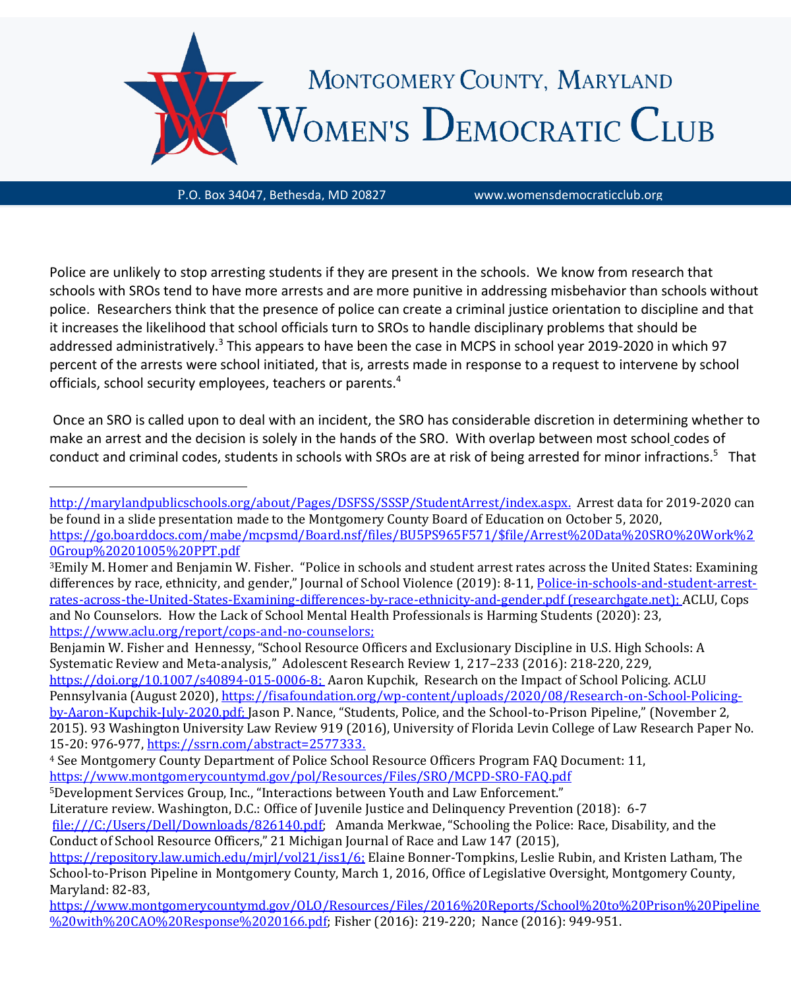

Police are unlikely to stop arresting students if they are present in the schools. We know from research that schools with SROs tend to have more arrests and are more punitive in addressing misbehavior than schools without police. Researchers think that the presence of police can create a criminal justice orientation to discipline and that it increases the likelihood that school officials turn to SROs to handle disciplinary problems that should be addressed administratively.<sup>3</sup> This appears to have been the case in MCPS in school year 2019-2020 in which 97 percent of the arrests were school initiated, that is, arrests made in response to a request to intervene by school officials, school security employees, teachers or parents.<sup>4</sup>

Once an SRO is called upon to deal with an incident, the SRO has considerable discretion in determining whether to make an arrest and the decision is solely in the hands of the SRO. With overlap between most school codes of conduct and criminal codes, students in schools with SROs are at risk of being arrested for minor infractions.<sup>5</sup> That

Benjamin W. Fisher and Hennessy, "School Resource Officers and Exclusionary Discipline in U.S. High Schools: A Systematic Review and Meta-analysis," Adolescent Research Review 1, 217–233 (2016): 218-220, 229,

[https://doi.org/10.1007/s40894-015-0006-8;](https://doi.org/10.1007/s40894-015-0006-8) Aaron Kupchik, Research on the Impact of School Policing. ACLU Pennsylvania (August 2020)[, https://fisafoundation.org/wp-content/uploads/2020/08/Research-on-School-Policing](https://fisafoundation.org/wp-content/uploads/2020/08/Research-on-School-Policing-by-Aaron-Kupchik-July-2020.pdf)[by-Aaron-Kupchik-July-2020.pdf;](https://fisafoundation.org/wp-content/uploads/2020/08/Research-on-School-Policing-by-Aaron-Kupchik-July-2020.pdf) Jason P. Nance, "Students, Police, and the School-to-Prison Pipeline," (November 2, 2015). 93 Washington University Law Review 919 (2016), University of Florida Levin College of Law Research Paper No. 15-20: 976-977, [https://ssrn.com/abstract=2577333.](https://ssrn.com/abstract=2577333)

<sup>5</sup>Development Services Group, Inc., "Interactions between Youth and Law Enforcement."

Literature review. Washington, D.C.: Office of Juvenile Justice and Delinquency Prevention (2018): 6-7 [file:///C:/Users/Dell/Downloads/826140.pdf;](file:///C:/Users/Dell/Downloads/826140.pdf) Amanda Merkwae, "Schooling the Police: Race, Disability, and the Conduct of School Resource Officers," 21 Michigan Journal of Race and Law 147 (2015),

[http://marylandpublicschools.org/about/Pages/DSFSS/SSSP/StudentArrest/index.aspx.](http://marylandpublicschools.org/about/Pages/DSFSS/SSSP/StudentArrest/index.aspx) Arrest data for 2019-2020 can be found in a slide presentation made to the Montgomery County Board of Education on October 5, 2020, [https://go.boarddocs.com/mabe/mcpsmd/Board.nsf/files/BU5PS965F571/\\$file/Arrest%20Data%20SRO%20Work%2](https://go.boarddocs.com/mabe/mcpsmd/Board.nsf/files/BU5PS965F571/$file/Arrest%20Data%20SRO%20Work%20Group%20201005%20PPT.pdf) [0Group%20201005%20PPT.pdf](https://go.boarddocs.com/mabe/mcpsmd/Board.nsf/files/BU5PS965F571/$file/Arrest%20Data%20SRO%20Work%20Group%20201005%20PPT.pdf)

<sup>3</sup>Emily M. Homer and Benjamin W. Fisher. "Police in schools and student arrest rates across the United States: Examining differences by race, ethnicity, and gender," Journal of School Violence (2019): 8-11, [Police-in-schools-and-student-arrest](https://www.researchgate.net/profile/Emily_Homer3/publication/332719367_Police_in_schools_and_student_arrest_rates_across_the_United_States_Examining_differences_by_race_ethnicity_and_gender/links/5e0e453392851c8364adc156/Police-in-schools-and-student-arrest-rates-across-the-United-States-Examining-differences-by-race-ethnicity-and-gender.pdf)[rates-across-the-United-States-Examining-differences-by-race-ethnicity-and-gender.pdf \(researchgate.net\);](https://www.researchgate.net/profile/Emily_Homer3/publication/332719367_Police_in_schools_and_student_arrest_rates_across_the_United_States_Examining_differences_by_race_ethnicity_and_gender/links/5e0e453392851c8364adc156/Police-in-schools-and-student-arrest-rates-across-the-United-States-Examining-differences-by-race-ethnicity-and-gender.pdf) ACLU, Cops and No Counselors. How the Lack of School Mental Health Professionals is Harming Students (2020): 23, [https://www.aclu.org/report/cops-and-no-counselors;](https://www.aclu.org/report/cops-and-no-counselors)

<sup>4</sup> See Montgomery County Department of Police School Resource Officers Program FAQ Document: 11, <https://www.montgomerycountymd.gov/pol/Resources/Files/SRO/MCPD-SRO-FAQ.pdf>

[https://repository.law.umich.edu/mjrl/vol21/iss1/6;](https://repository.law.umich.edu/mjrl/vol21/iss1/6) Elaine Bonner-Tompkins, Leslie Rubin, and Kristen Latham, The School-to-Prison Pipeline in Montgomery County, March 1, 2016, Office of Legislative Oversight, Montgomery County, Maryland: 82-83,

[https://www.montgomerycountymd.gov/OLO/Resources/Files/2016%20Reports/School%20to%20Prison%20Pipeline](https://www.montgomerycountymd.gov/OLO/Resources/Files/2016%20Reports/School%20to%20Prison%20Pipeline%20with%20CAO%20Response%2020166.pdf) [%20with%20CAO%20Response%2020166.pdf;](https://www.montgomerycountymd.gov/OLO/Resources/Files/2016%20Reports/School%20to%20Prison%20Pipeline%20with%20CAO%20Response%2020166.pdf) Fisher (2016): 219-220; Nance (2016): 949-951.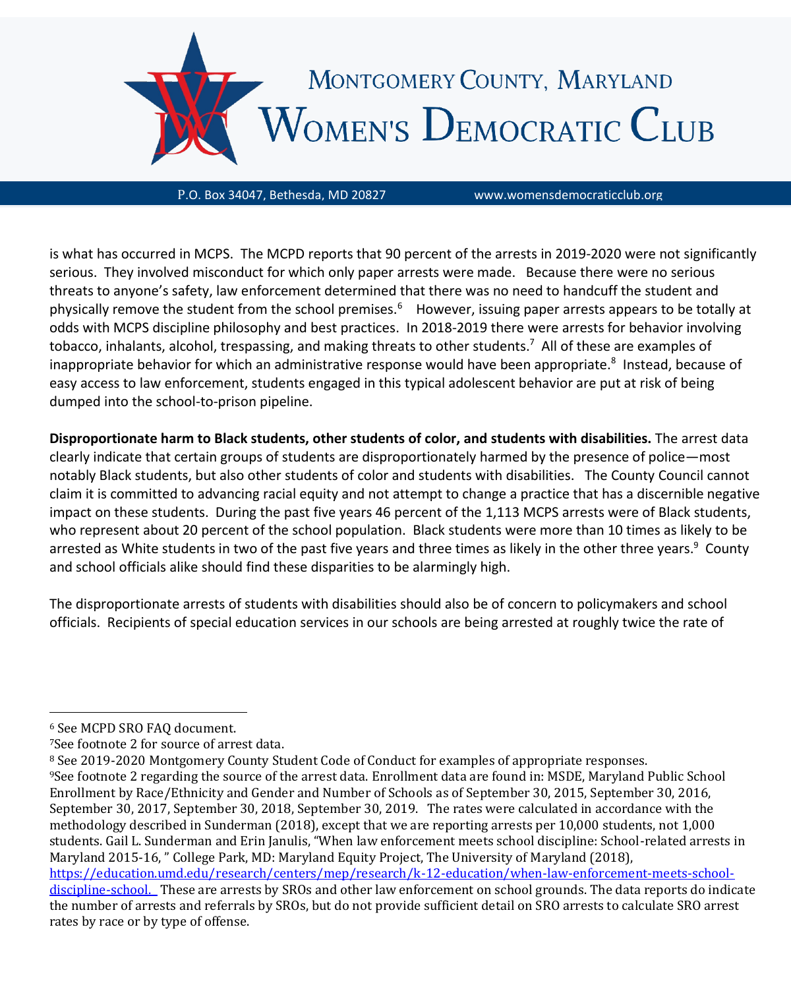

is what has occurred in MCPS. The MCPD reports that 90 percent of the arrests in 2019-2020 were not significantly serious. They involved misconduct for which only paper arrests were made. Because there were no serious threats to anyone's safety, law enforcement determined that there was no need to handcuff the student and physically remove the student from the school premises.<sup>6</sup> However, issuing paper arrests appears to be totally at odds with MCPS discipline philosophy and best practices. In 2018-2019 there were arrests for behavior involving tobacco, inhalants, alcohol, trespassing, and making threats to other students.<sup>7</sup> All of these are examples of inappropriate behavior for which an administrative response would have been appropriate.<sup>8</sup> Instead, because of easy access to law enforcement, students engaged in this typical adolescent behavior are put at risk of being dumped into the school-to-prison pipeline.

**Disproportionate harm to Black students, other students of color, and students with disabilities.** The arrest data clearly indicate that certain groups of students are disproportionately harmed by the presence of police—most notably Black students, but also other students of color and students with disabilities. The County Council cannot claim it is committed to advancing racial equity and not attempt to change a practice that has a discernible negative impact on these students. During the past five years 46 percent of the 1,113 MCPS arrests were of Black students, who represent about 20 percent of the school population. Black students were more than 10 times as likely to be arrested as White students in two of the past five years and three times as likely in the other three years.<sup>9</sup> County and school officials alike should find these disparities to be alarmingly high.

The disproportionate arrests of students with disabilities should also be of concern to policymakers and school officials. Recipients of special education services in our schools are being arrested at roughly twice the rate of

<sup>6</sup> See MCPD SRO FAQ document.

<sup>7</sup>See footnote 2 for source of arrest data.

<sup>8</sup> See 2019-2020 Montgomery County Student Code of Conduct for examples of appropriate responses. <sup>9</sup>See footnote 2 regarding the source of the arrest data. Enrollment data are found in: MSDE, Maryland Public School Enrollment by Race/Ethnicity and Gender and Number of Schools as of September 30, 2015, September 30, 2016, September 30, 2017, September 30, 2018, September 30, 2019. The rates were calculated in accordance with the methodology described in Sunderman (2018), except that we are reporting arrests per 10,000 students, not 1,000 students. Gail L. Sunderman and Erin Janulis, "When law enforcement meets school discipline: School-related arrests in Maryland 2015-16, " College Park, MD: Maryland Equity Project, The University of Maryland (2018), [https://education.umd.edu/research/centers/mep/research/k-12-education/when-law-enforcement-meets-school](https://education.umd.edu/research/centers/mep/research/k-12-education/when-law-enforcement-meets-school-discipline-school)[discipline-school.](https://education.umd.edu/research/centers/mep/research/k-12-education/when-law-enforcement-meets-school-discipline-school) These are arrests by SROs and other law enforcement on school grounds. The data reports do indicate the number of arrests and referrals by SROs, but do not provide sufficient detail on SRO arrests to calculate SRO arrest rates by race or by type of offense.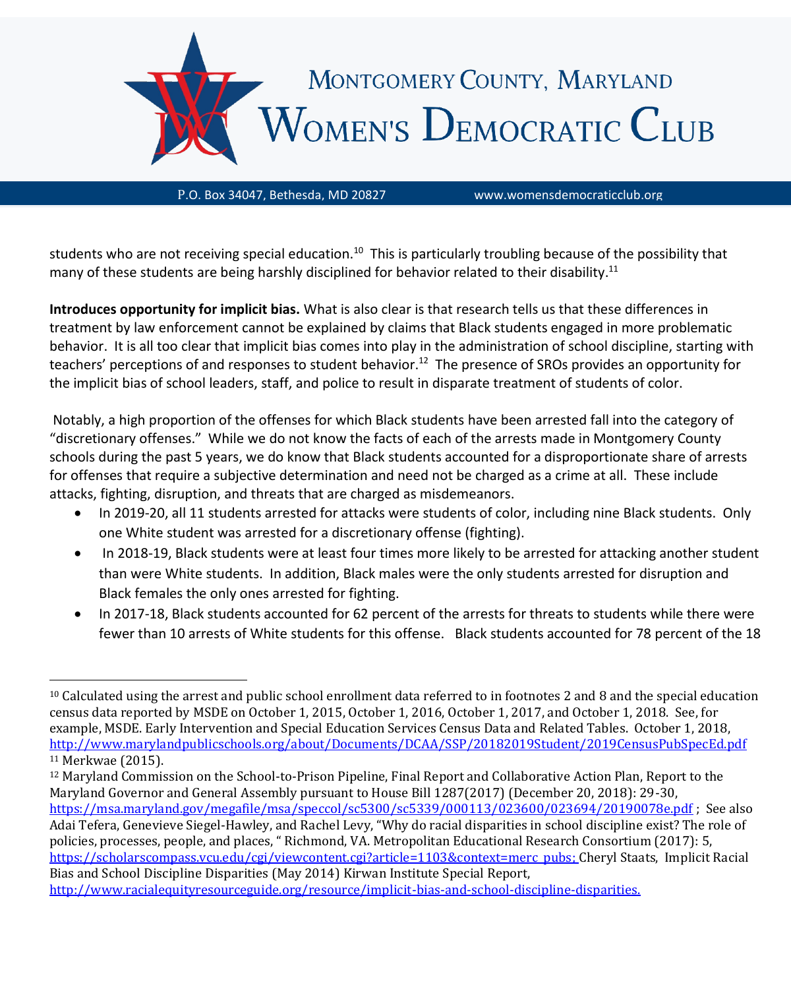

students who are not receiving special education.<sup>10</sup> This is particularly troubling because of the possibility that many of these students are being harshly disciplined for behavior related to their disability.<sup>11</sup>

**Introduces opportunity for implicit bias.** What is also clear is that research tells us that these differences in treatment by law enforcement cannot be explained by claims that Black students engaged in more problematic behavior. It is all too clear that implicit bias comes into play in the administration of school discipline, starting with teachers' perceptions of and responses to student behavior.<sup>12</sup> The presence of SROs provides an opportunity for the implicit bias of school leaders, staff, and police to result in disparate treatment of students of color.

Notably, a high proportion of the offenses for which Black students have been arrested fall into the category of "discretionary offenses." While we do not know the facts of each of the arrests made in Montgomery County schools during the past 5 years, we do know that Black students accounted for a disproportionate share of arrests for offenses that require a subjective determination and need not be charged as a crime at all. These include attacks, fighting, disruption, and threats that are charged as misdemeanors.

- In 2019-20, all 11 students arrested for attacks were students of color, including nine Black students. Only one White student was arrested for a discretionary offense (fighting).
- In 2018-19, Black students were at least four times more likely to be arrested for attacking another student than were White students. In addition, Black males were the only students arrested for disruption and Black females the only ones arrested for fighting.
- In 2017-18, Black students accounted for 62 percent of the arrests for threats to students while there were fewer than 10 arrests of White students for this offense. Black students accounted for 78 percent of the 18

 $10$  Calculated using the arrest and public school enrollment data referred to in footnotes 2 and 8 and the special education census data reported by MSDE on October 1, 2015, October 1, 2016, October 1, 2017, and October 1, 2018. See, for example, MSDE. Early Intervention and Special Education Services Census Data and Related Tables. October 1, 2018, <http://www.marylandpublicschools.org/about/Documents/DCAA/SSP/20182019Student/2019CensusPubSpecEd.pdf> <sup>11</sup> Merkwae (2015).

<sup>12</sup> Maryland Commission on the School-to-Prison Pipeline, Final Report and Collaborative Action Plan, Report to the Maryland Governor and General Assembly pursuant to House Bill 1287(2017) (December 20, 2018): 29-30, <https://msa.maryland.gov/megafile/msa/speccol/sc5300/sc5339/000113/023600/023694/20190078e.pdf> ; See also Adai Tefera, Genevieve Siegel-Hawley, and Rachel Levy, "Why do racial disparities in school discipline exist? The role of policies, processes, people, and places, " Richmond, VA. Metropolitan Educational Research Consortium (2017): 5, [https://scholarscompass.vcu.edu/cgi/viewcontent.cgi?article=1103&context=merc\\_pubs;](https://scholarscompass.vcu.edu/cgi/viewcontent.cgi?article=1103&context=merc_pubs) Cheryl Staats, Implicit Racial Bias and School Discipline Disparities (May 2014) Kirwan Institute Special Report, [http://www.racialequityresourceguide.org/resource/implicit-bias-and-school-discipline-disparities.](http://www.racialequityresourceguide.org/resource/implicit-bias-and-school-discipline-disparities)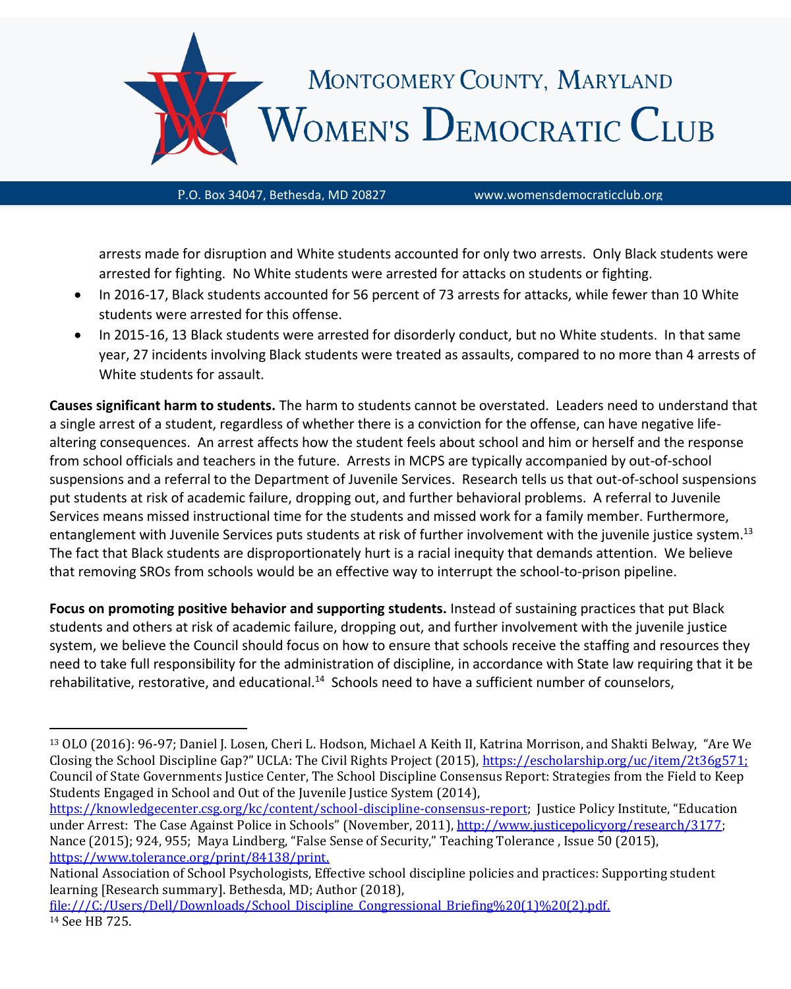

arrests made for disruption and White students accounted for only two arrests. Only Black students were arrested for fighting. No White students were arrested for attacks on students or fighting.

• In 2016-17, Black students accounted for 56 percent of 73 arrests for attacks, while fewer than 10 White students were arrested for this offense.

• In 2015-16, 13 Black students were arrested for disorderly conduct, but no White students. In that same year, 27 incidents involving Black students were treated as assaults, compared to no more than 4 arrests of White students for assault.

**Causes significant harm to students.** The harm to students cannot be overstated. Leaders need to understand that a single arrest of a student, regardless of whether there is a conviction for the offense, can have negative lifealtering consequences. An arrest affects how the student feels about school and him or herself and the response from school officials and teachers in the future. Arrests in MCPS are typically accompanied by out-of-school suspensions and a referral to the Department of Juvenile Services. Research tells us that out-of-school suspensions put students at risk of academic failure, dropping out, and further behavioral problems. A referral to Juvenile Services means missed instructional time for the students and missed work for a family member. Furthermore, entanglement with Juvenile Services puts students at risk of further involvement with the juvenile justice system.<sup>13</sup> The fact that Black students are disproportionately hurt is a racial inequity that demands attention. We believe that removing SROs from schools would be an effective way to interrupt the school-to-prison pipeline.

**Focus on promoting positive behavior and supporting students.** Instead of sustaining practices that put Black students and others at risk of academic failure, dropping out, and further involvement with the juvenile justice system, we believe the Council should focus on how to ensure that schools receive the staffing and resources they need to take full responsibility for the administration of discipline, in accordance with State law requiring that it be rehabilitative, restorative, and educational.<sup>14</sup> Schools need to have a sufficient number of counselors,

<sup>13</sup> OLO (2016): 96-97; Daniel J. Losen, Cheri L. Hodson, Michael A Keith II, Katrina Morrison, and Shakti Belway, "Are We Closing the School Discipline Gap?" UCLA: The Civil Rights Project (2015), [https://escholarship.org/uc/item/2t36g571;](https://escholarship.org/uc/item/2t36g571) Council of State Governments Justice Center, The School Discipline Consensus Report: Strategies from the Field to Keep Students Engaged in School and Out of the Juvenile Justice System (2014),

[https://knowledgecenter.csg.org/kc/content/school-discipline-consensus-report;](https://knowledgecenter.csg.org/kc/content/school-discipline-consensus-report) Justice Policy Institute, "Education under Arrest: The Case Against Police in Schools" (November, 2011), [http://www.justicepolicyorg/research/3177;](http://www.justicepolicyorg/research/3177) Nance (2015); 924, 955; Maya Lindberg, "False Sense of Security," Teaching Tolerance , Issue 50 (2015), [https://www.tolerance.org/print/84138/print.](https://www.tolerance.org/print/84138/print) 

National Association of School Psychologists, Effective school discipline policies and practices: Supporting student learning [Research summary]. Bethesda, MD; Author (2018),

[file:///C:/Users/Dell/Downloads/School\\_Discipline\\_Congressional\\_Briefing%20\(1\)%20\(2\).pdf.](file:///C:/Users/Dell/Downloads/School_Discipline_Congressional_Briefing%20(1)%20(2).pdf) <sup>14</sup> See HB 725.